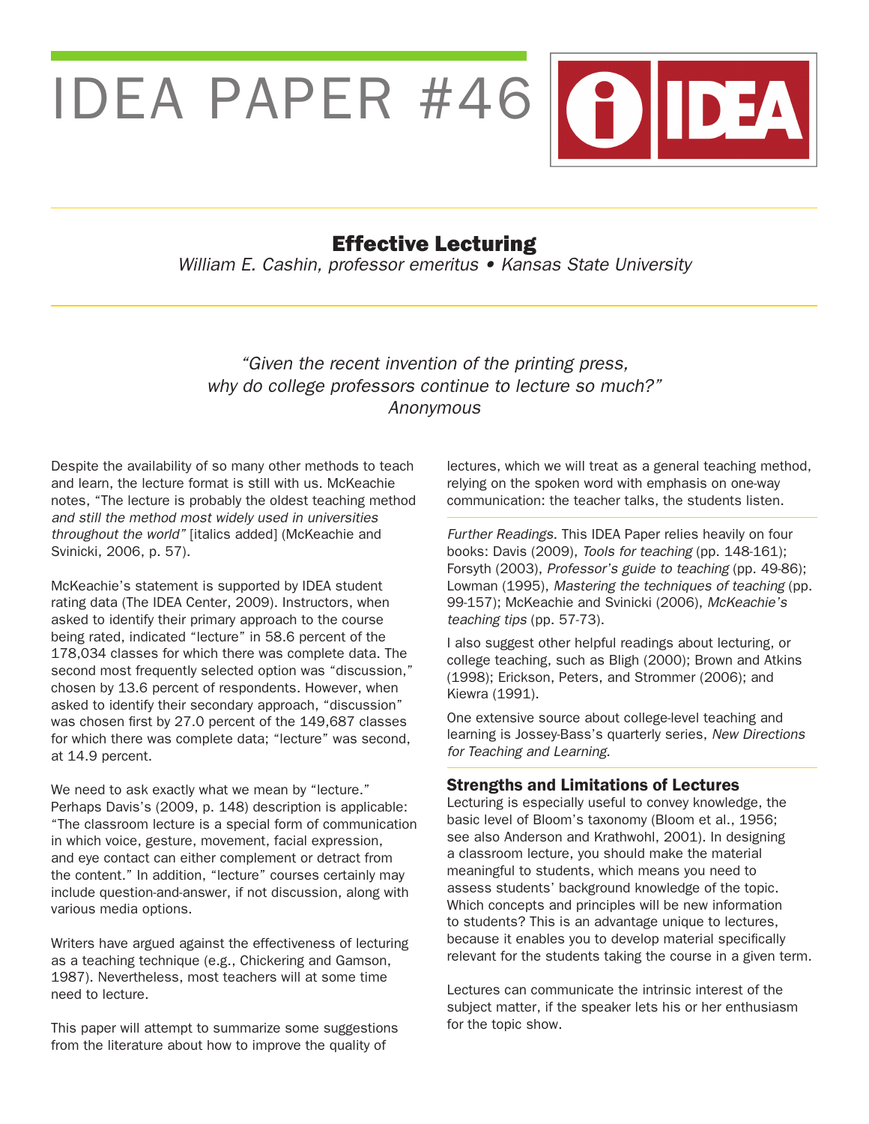

# Effective Lecturing

William E. Cashin, professor emeritus • Kansas State University

## "Given the recent invention of the printing press, why do college professors continue to lecture so much?" Anonymous

Despite the availability of so many other methods to teach and learn, the lecture format is still with us. McKeachie notes, "The lecture is probably the oldest teaching method and still the method most widely used in universities throughout the world" [italics added] (McKeachie and Svinicki, 2006, p. 57).

McKeachie's statement is supported by IDEA student rating data (The IDEA Center, 2009). Instructors, when asked to identify their primary approach to the course being rated, indicated "lecture" in 58.6 percent of the 178,034 classes for which there was complete data. The second most frequently selected option was "discussion," chosen by 13.6 percent of respondents. However, when asked to identify their secondary approach, "discussion" was chosen first by 27.0 percent of the 149,687 classes for which there was complete data; "lecture" was second, at 14.9 percent.

We need to ask exactly what we mean by "lecture." Perhaps Davis's (2009, p. 148) description is applicable: "The classroom lecture is a special form of communication in which voice, gesture, movement, facial expression, and eye contact can either complement or detract from the content." In addition, "lecture" courses certainly may include question-and-answer, if not discussion, along with various media options.

Writers have argued against the effectiveness of lecturing as a teaching technique (e.g., Chickering and Gamson, 1987). Nevertheless, most teachers will at some time need to lecture.

This paper will attempt to summarize some suggestions from the literature about how to improve the quality of

lectures, which we will treat as a general teaching method, relying on the spoken word with emphasis on one-way communication: the teacher talks, the students listen.

Further Readings. This IDEA Paper relies heavily on four books: Davis (2009), Tools for teaching (pp. 148-161); Forsyth (2003), Professor's guide to teaching (pp. 49-86); Lowman (1995), Mastering the techniques of teaching (pp. 99-157); McKeachie and Svinicki (2006), McKeachie's teaching tips (pp. 57-73).

I also suggest other helpful readings about lecturing, or college teaching, such as Bligh (2000); Brown and Atkins (1998); Erickson, Peters, and Strommer (2006); and Kiewra (1991).

One extensive source about college-level teaching and learning is Jossey-Bass's quarterly series, New Directions for Teaching and Learning.

#### Strengths and Limitations of Lectures

Lecturing is especially useful to convey knowledge, the basic level of Bloom's taxonomy (Bloom et al., 1956; see also Anderson and Krathwohl, 2001). In designing a classroom lecture, you should make the material meaningful to students, which means you need to assess students' background knowledge of the topic. Which concepts and principles will be new information to students? This is an advantage unique to lectures, because it enables you to develop material specifically relevant for the students taking the course in a given term.

Lectures can communicate the intrinsic interest of the subject matter, if the speaker lets his or her enthusiasm for the topic show.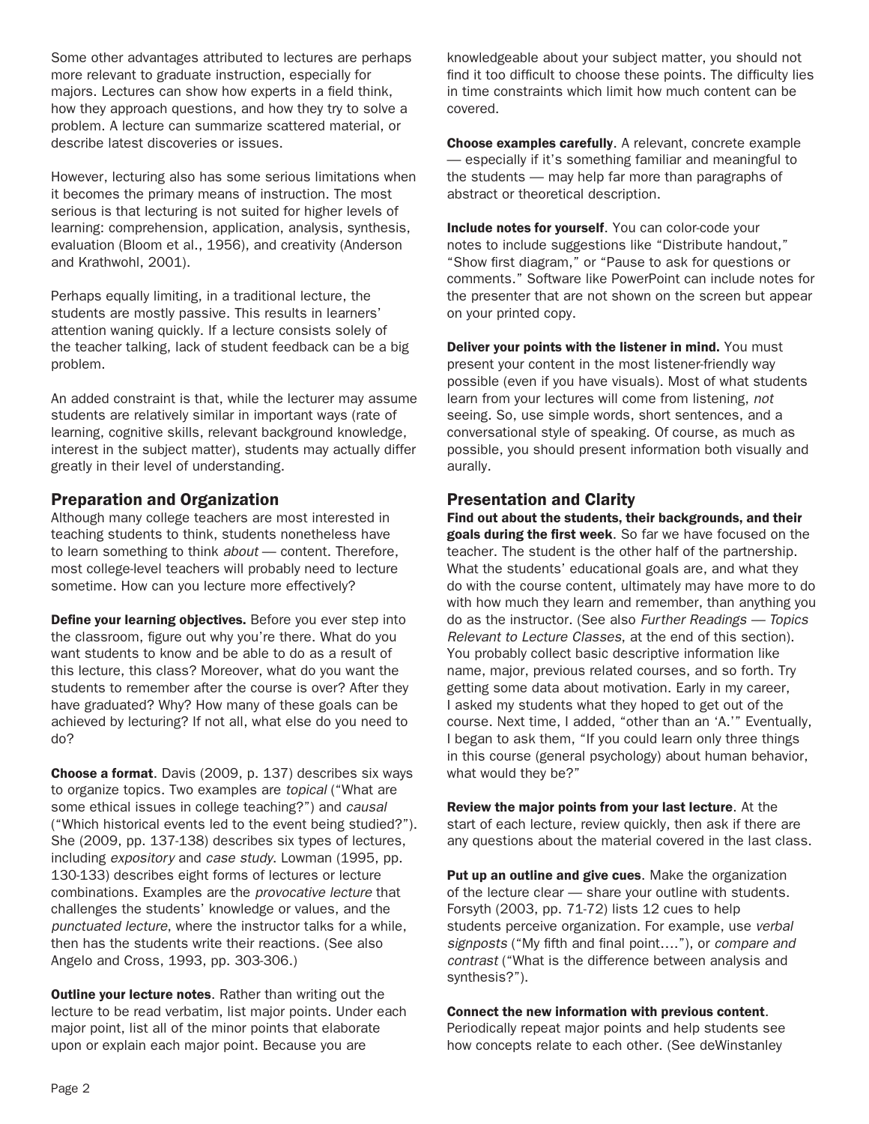Some other advantages attributed to lectures are perhaps more relevant to graduate instruction, especially for majors. Lectures can show how experts in a field think, how they approach questions, and how they try to solve a problem. A lecture can summarize scattered material, or describe latest discoveries or issues.

However, lecturing also has some serious limitations when it becomes the primary means of instruction. The most serious is that lecturing is not suited for higher levels of learning: comprehension, application, analysis, synthesis, evaluation (Bloom et al., 1956), and creativity (Anderson and Krathwohl, 2001).

Perhaps equally limiting, in a traditional lecture, the students are mostly passive. This results in learners' attention waning quickly. If a lecture consists solely of the teacher talking, lack of student feedback can be a big problem.

An added constraint is that, while the lecturer may assume students are relatively similar in important ways (rate of learning, cognitive skills, relevant background knowledge, interest in the subject matter), students may actually differ greatly in their level of understanding.

#### Preparation and Organization

Although many college teachers are most interested in teaching students to think, students nonetheless have to learn something to think *about* — content. Therefore, most college-level teachers will probably need to lecture sometime. How can you lecture more effectively?

Define your learning objectives. Before you ever step into the classroom, figure out why you're there. What do you want students to know and be able to do as a result of this lecture, this class? Moreover, what do you want the students to remember after the course is over? After they have graduated? Why? How many of these goals can be achieved by lecturing? If not all, what else do you need to do?

Choose a format. Davis (2009, p. 137) describes six ways to organize topics. Two examples are topical ("What are some ethical issues in college teaching?") and causal ("Which historical events led to the event being studied?"). She (2009, pp. 137-138) describes six types of lectures, including expository and case study. Lowman (1995, pp. 130-133) describes eight forms of lectures or lecture combinations. Examples are the provocative lecture that challenges the students' knowledge or values, and the punctuated lecture, where the instructor talks for a while, then has the students write their reactions. (See also Angelo and Cross, 1993, pp. 303-306.)

**Outline your lecture notes.** Rather than writing out the lecture to be read verbatim, list major points. Under each major point, list all of the minor points that elaborate upon or explain each major point. Because you are

knowledgeable about your subject matter, you should not find it too difficult to choose these points. The difficulty lies in time constraints which limit how much content can be covered.

Choose examples carefully. A relevant, concrete example — especially if it's something familiar and meaningful to the students — may help far more than paragraphs of abstract or theoretical description.

Include notes for yourself. You can color-code your notes to include suggestions like "Distribute handout," "Show first diagram," or "Pause to ask for questions or comments." Software like PowerPoint can include notes for the presenter that are not shown on the screen but appear on your printed copy.

Deliver your points with the listener in mind. You must present your content in the most listener-friendly way possible (even if you have visuals). Most of what students learn from your lectures will come from listening, *not* seeing. So, use simple words, short sentences, and a conversational style of speaking. Of course, as much as possible, you should present information both visually and aurally.

#### Presentation and Clarity

Find out about the students, their backgrounds, and their goals during the first week. So far we have focused on the teacher. The student is the other half of the partnership. What the students' educational goals are, and what they do with the course content, ultimately may have more to do with how much they learn and remember, than anything you do as the instructor. (See also Further Readings — Topics Relevant to Lecture Classes, at the end of this section). You probably collect basic descriptive information like name, major, previous related courses, and so forth. Try getting some data about motivation. Early in my career, I asked my students what they hoped to get out of the course. Next time, I added, "other than an 'A.'" Eventually, I began to ask them, "If you could learn only three things in this course (general psychology) about human behavior, what would they be?"

Review the major points from your last lecture. At the start of each lecture, review quickly, then ask if there are any questions about the material covered in the last class.

Put up an outline and give cues. Make the organization of the lecture clear — share your outline with students. Forsyth (2003, pp. 71-72) lists 12 cues to help students perceive organization. For example, use verbal signposts ("My fifth and final point...."), or compare and contrast ("What is the difference between analysis and synthesis?").

### Connect the new information with previous content.

Periodically repeat major points and help students see how concepts relate to each other. (See deWinstanley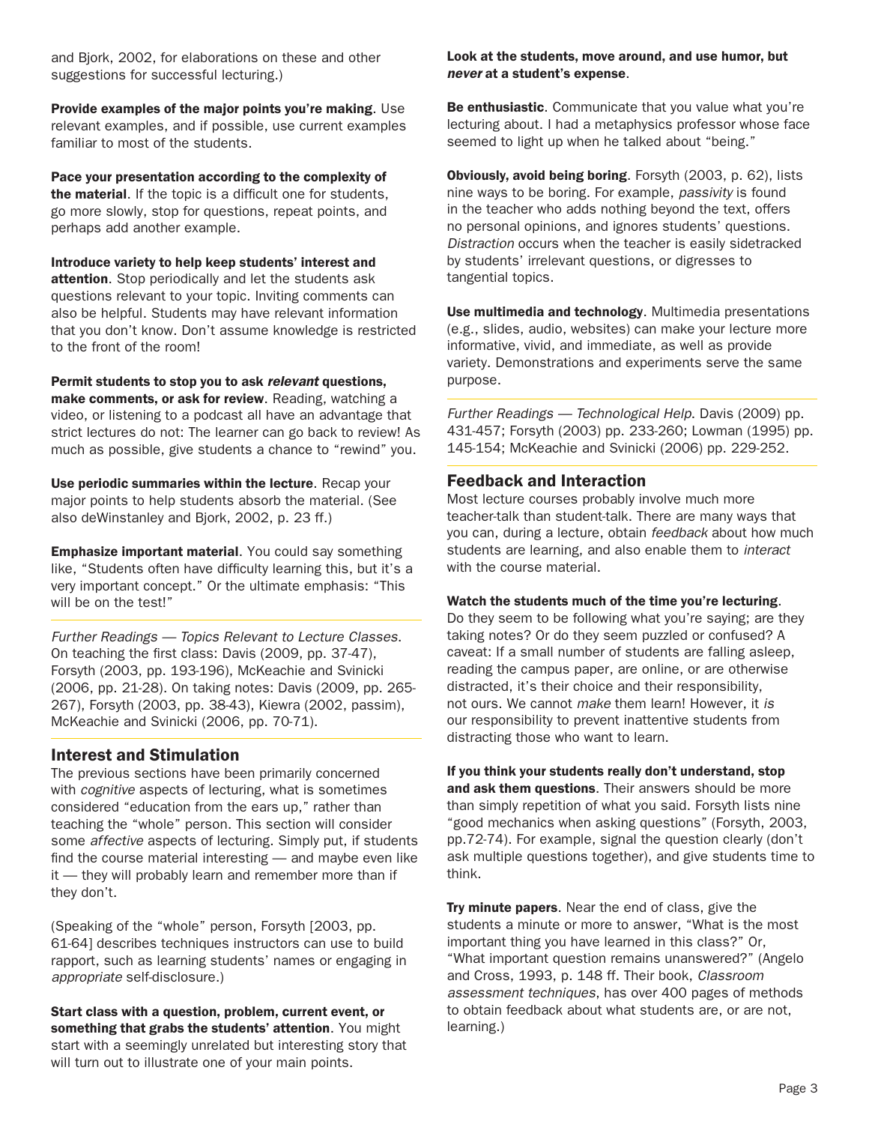and Bjork, 2002, for elaborations on these and other suggestions for successful lecturing.)

Provide examples of the major points you're making. Use relevant examples, and if possible, use current examples familiar to most of the students.

Pace your presentation according to the complexity of the material. If the topic is a difficult one for students, go more slowly, stop for questions, repeat points, and perhaps add another example.

Introduce variety to help keep students' interest and attention. Stop periodically and let the students ask questions relevant to your topic. Inviting comments can also be helpful. Students may have relevant information that you don't know. Don't assume knowledge is restricted to the front of the room!

Permit students to stop you to ask *relevant* questions, make comments, or ask for review. Reading, watching a video, or listening to a podcast all have an advantage that strict lectures do not: The learner can go back to review! As much as possible, give students a chance to "rewind" you.

Use periodic summaries within the lecture. Recap your major points to help students absorb the material. (See also deWinstanley and Bjork, 2002, p. 23 ff.)

Emphasize important material. You could say something like, "Students often have difficulty learning this, but it's a very important concept." Or the ultimate emphasis: "This will be on the test!"

Further Readings — Topics Relevant to Lecture Classes. On teaching the first class: Davis (2009, pp. 37-47), Forsyth (2003, pp. 193-196), McKeachie and Svinicki (2006, pp. 21-28). On taking notes: Davis (2009, pp. 265- 267), Forsyth (2003, pp. 38-43), Kiewra (2002, passim), McKeachie and Svinicki (2006, pp. 70-71).

#### Interest and Stimulation

The previous sections have been primarily concerned with *cognitive* aspects of lecturing, what is sometimes considered "education from the ears up," rather than teaching the "whole" person. This section will consider some affective aspects of lecturing. Simply put, if students find the course material interesting — and maybe even like it — they will probably learn and remember more than if they don't.

(Speaking of the "whole" person, Forsyth [2003, pp. 61-64] describes techniques instructors can use to build rapport, such as learning students' names or engaging in *appropriate* self-disclosure.)

Start class with a question, problem, current event, or something that grabs the students' attention. You might start with a seemingly unrelated but interesting story that will turn out to illustrate one of your main points.

#### Look at the students, move around, and use humor, but *never* at a student's expense.

Be enthusiastic. Communicate that you value what you're lecturing about. I had a metaphysics professor whose face seemed to light up when he talked about "being."

Obviously, avoid being boring. Forsyth (2003, p. 62), lists nine ways to be boring. For example, passivity is found in the teacher who adds nothing beyond the text, offers no personal opinions, and ignores students' questions. Distraction occurs when the teacher is easily sidetracked by students' irrelevant questions, or digresses to tangential topics.

Use multimedia and technology. Multimedia presentations (e.g., slides, audio, websites) can make your lecture more informative, vivid, and immediate, as well as provide variety. Demonstrations and experiments serve the same purpose.

Further Readings — Technological Help. Davis (2009) pp. 431-457; Forsyth (2003) pp. 233-260; Lowman (1995) pp. 145-154; McKeachie and Svinicki (2006) pp. 229-252.

#### Feedback and Interaction

Most lecture courses probably involve much more teacher-talk than student-talk. There are many ways that you can, during a lecture, obtain feedback about how much students are learning, and also enable them to interact with the course material.

#### Watch the students much of the time you're lecturing.

Do they seem to be following what you're saying; are they taking notes? Or do they seem puzzled or confused? A caveat: If a small number of students are falling asleep, reading the campus paper, are online, or are otherwise distracted, it's their choice and their responsibility, not ours. We cannot make them learn! However, it *is* our responsibility to prevent inattentive students from distracting those who want to learn.

If you think your students really don't understand, stop

and ask them questions. Their answers should be more than simply repetition of what you said. Forsyth lists nine "good mechanics when asking questions" (Forsyth, 2003, pp.72-74). For example, signal the question clearly (don't ask multiple questions together), and give students time to think.

Try minute papers. Near the end of class, give the students a minute or more to answer, "What is the most important thing you have learned in this class?" Or, "What important question remains unanswered?" (Angelo and Cross, 1993, p. 148 ff. Their book, *Classroom*  assessment techniques, has over 400 pages of methods to obtain feedback about what students are, or are not, learning.)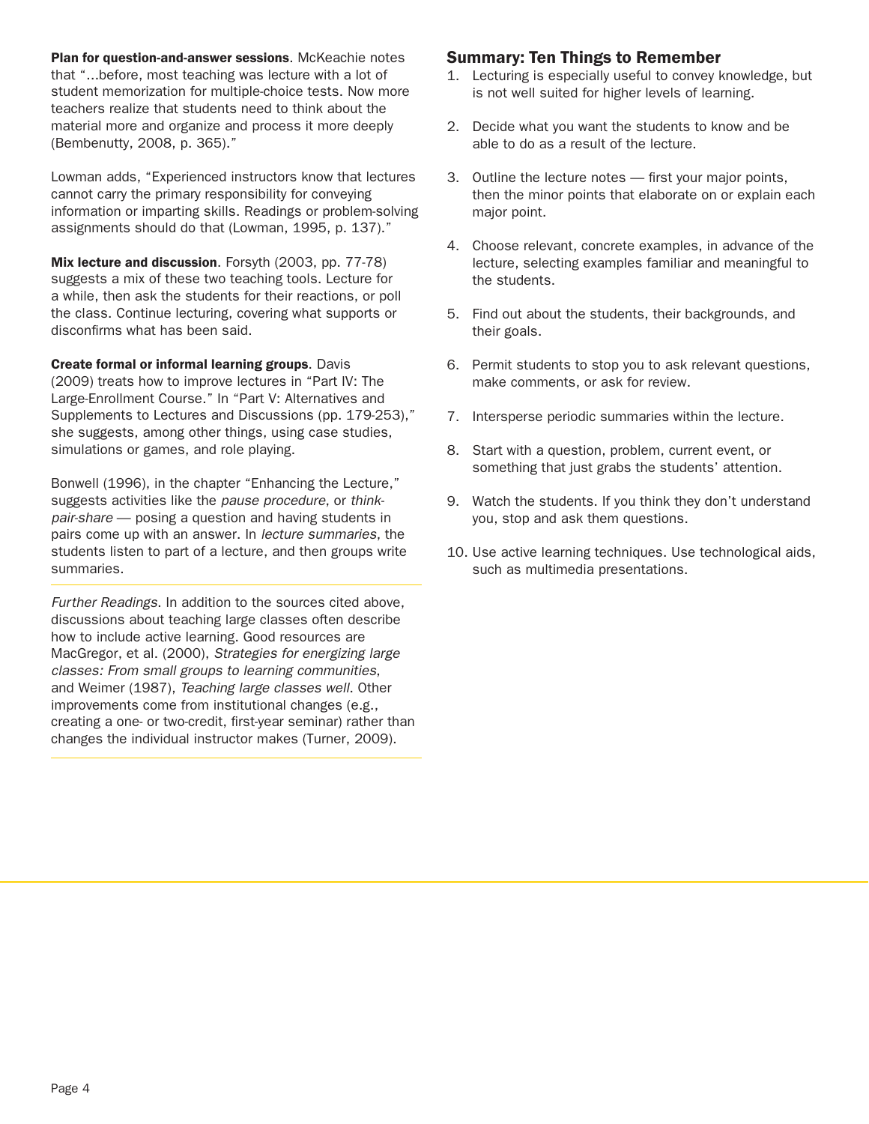Plan for question-and-answer sessions. McKeachie notes that "...before, most teaching was lecture with a lot of student memorization for multiple-choice tests. Now more teachers realize that students need to think about the material more and organize and process it more deeply (Bembenutty, 2008, p. 365)."

Lowman adds, "Experienced instructors know that lectures cannot carry the primary responsibility for conveying information or imparting skills. Readings or problem-solving assignments should do that (Lowman, 1995, p. 137)."

Mix lecture and discussion. Forsyth (2003, pp. 77-78) suggests a mix of these two teaching tools. Lecture for a while, then ask the students for their reactions, or poll the class. Continue lecturing, covering what supports or disconfirms what has been said.

Create formal or informal learning groups. Davis (2009) treats how to improve lectures in "Part IV: The Large-Enrollment Course." In "Part V: Alternatives and Supplements to Lectures and Discussions (pp. 179-253)," she suggests, among other things, using case studies, simulations or games, and role playing.

Bonwell (1996), in the chapter "Enhancing the Lecture," suggests activities like the pause procedure, or thinkpair-share — posing a question and having students in pairs come up with an answer. In lecture summaries, the students listen to part of a lecture, and then groups write summaries.

Further Readings. In addition to the sources cited above, discussions about teaching large classes often describe how to include active learning. Good resources are MacGregor, et al. (2000), Strategies for energizing large classes: From small groups to learning communities, and Weimer (1987), Teaching large classes well. Other improvements come from institutional changes (e.g., creating a one- or two-credit, first-year seminar) rather than changes the individual instructor makes (Turner, 2009).

#### Summary: Ten Things to Remember

- 1. Lecturing is especially useful to convey knowledge, but is not well suited for higher levels of learning.
- 2. Decide what you want the students to know and be able to do as a result of the lecture.
- 3. Outline the lecture notes first your major points, then the minor points that elaborate on or explain each major point.
- 4. Choose relevant, concrete examples, in advance of the lecture, selecting examples familiar and meaningful to the students.
- 5. Find out about the students, their backgrounds, and their goals.
- 6. Permit students to stop you to ask relevant questions, make comments, or ask for review.
- 7. Intersperse periodic summaries within the lecture.
- 8. Start with a question, problem, current event, or something that just grabs the students' attention.
- 9. Watch the students. If you think they don't understand you, stop and ask them questions.
- 10. Use active learning techniques. Use technological aids, such as multimedia presentations.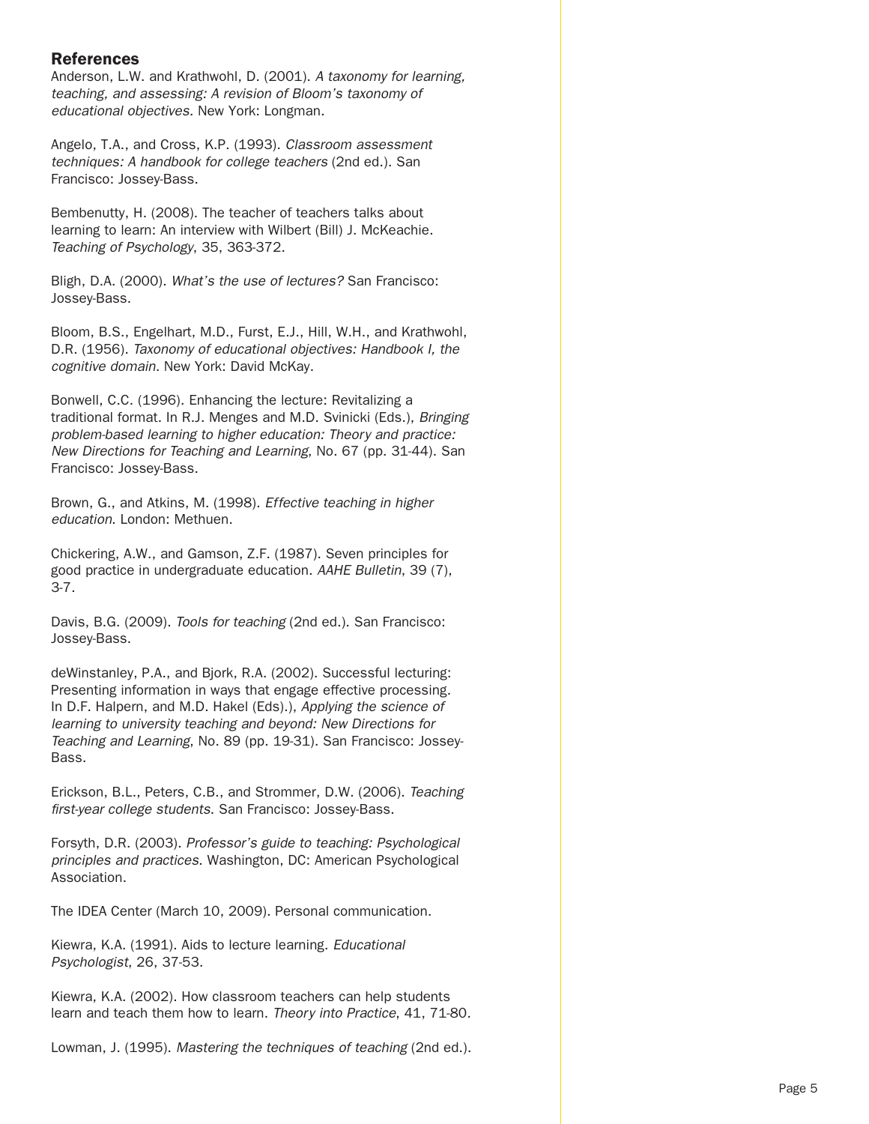#### References

Anderson, L.W. and Krathwohl, D. (2001). A taxonomy for learning, teaching, and assessing: A revision of Bloom's taxonomy of educational objectives. New York: Longman.

Angelo, T.A., and Cross, K.P. (1993). *Classroom assessment*  techniques: A handbook for college teachers (2nd ed.). San Francisco: Jossey-Bass.

Bembenutty, H. (2008). The teacher of teachers talks about learning to learn: An interview with Wilbert (Bill) J. McKeachie. Teaching of Psychology, 35, 363-372.

Bligh, D.A. (2000). What's the use of lectures? San Francisco: Jossey-Bass.

Bloom, B.S., Engelhart, M.D., Furst, E.J., Hill, W.H., and Krathwohl, D.R. (1956). Taxonomy of educational objectives: Handbook I, the cognitive domain. New York: David McKay.

Bonwell, C.C. (1996). Enhancing the lecture: Revitalizing a traditional format. In R.J. Menges and M.D. Svinicki (Eds.), Bringing problem-based learning to higher education: Theory and practice: New Directions for Teaching and Learning, No. 67 (pp. 31-44). San Francisco: Jossey-Bass.

Brown, G., and Atkins, M. (1998). Effective teaching in higher education. London: Methuen.

Chickering, A.W., and Gamson, Z.F. (1987). Seven principles for good practice in undergraduate education. AAHE Bulletin, 39 (7), 3-7.

Davis, B.G. (2009). Tools for teaching (2nd ed.). San Francisco: Jossey-Bass.

deWinstanley, P.A., and Bjork, R.A. (2002). Successful lecturing: Presenting information in ways that engage effective processing. In D.F. Halpern, and M.D. Hakel (Eds).), Applying the science of learning to university teaching and beyond: New Directions for Teaching and Learning, No. 89 (pp. 19-31). San Francisco: Jossey-Bass.

Erickson, B.L., Peters, C.B., and Strommer, D.W. (2006). Teaching first-year college students. San Francisco: Jossey-Bass.

Forsyth, D.R. (2003). Professor's guide to teaching: Psychological principles and practices. Washington, DC: American Psychological Association.

The IDEA Center (March 10, 2009). Personal communication.

Kiewra, K.A. (1991). Aids to lecture learning. Educational Psychologist, 26, 37-53.

Kiewra, K.A. (2002). How classroom teachers can help students learn and teach them how to learn. Theory into Practice, 41, 71-80.

Lowman, J. (1995). Mastering the techniques of teaching (2nd ed.).